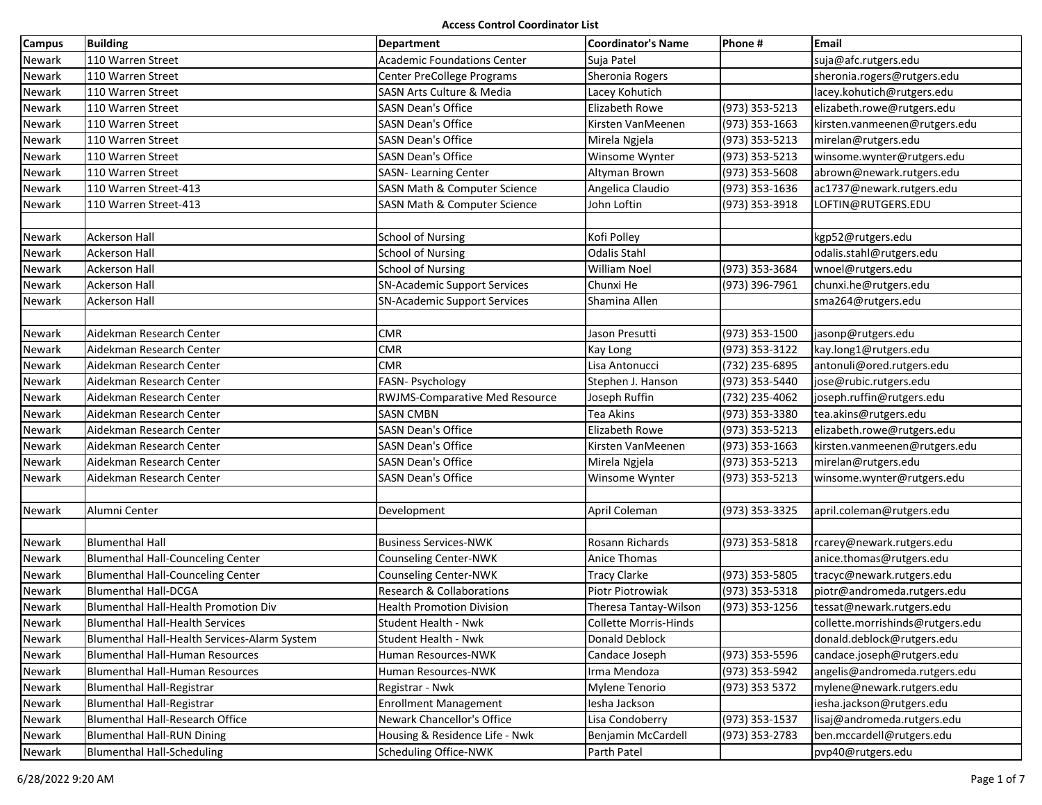| Campus        | <b>Building</b>                              | Department                              | <b>Coordinator's Name</b> | Phone #        | Email                            |
|---------------|----------------------------------------------|-----------------------------------------|---------------------------|----------------|----------------------------------|
| Newark        | 110 Warren Street                            | <b>Academic Foundations Center</b>      | Suja Patel                |                | suja@afc.rutgers.edu             |
| Newark        | 110 Warren Street                            | Center PreCollege Programs              | Sheronia Rogers           |                | sheronia.rogers@rutgers.edu      |
| Newark        | 110 Warren Street                            | SASN Arts Culture & Media               | Lacey Kohutich            |                | lacey.kohutich@rutgers.edu       |
| Newark        | 110 Warren Street                            | <b>SASN Dean's Office</b>               | Elizabeth Rowe            | (973) 353-5213 | elizabeth.rowe@rutgers.edu       |
| Newark        | 110 Warren Street                            | <b>SASN Dean's Office</b>               | Kirsten VanMeenen         | (973) 353-1663 | kirsten.vanmeenen@rutgers.edu    |
| Newark        | 110 Warren Street                            | <b>SASN Dean's Office</b>               | Mirela Ngjela             | (973) 353-5213 | mirelan@rutgers.edu              |
| Newark        | 110 Warren Street                            | <b>SASN Dean's Office</b>               | Winsome Wynter            | (973) 353-5213 | winsome.wynter@rutgers.edu       |
| Newark        | 110 Warren Street                            | SASN- Learning Center                   | Altyman Brown             | (973) 353-5608 | abrown@newark.rutgers.edu        |
| Newark        | 110 Warren Street-413                        | SASN Math & Computer Science            | Angelica Claudio          | (973) 353-1636 | ac1737@newark.rutgers.edu        |
| Newark        | 110 Warren Street-413                        | <b>SASN Math &amp; Computer Science</b> | John Loftin               | (973) 353-3918 | LOFTIN@RUTGERS.EDU               |
|               |                                              |                                         |                           |                |                                  |
| Newark        | Ackerson Hall                                | <b>School of Nursing</b>                | Kofi Polley               |                | kgp52@rutgers.edu                |
| Newark        | <b>Ackerson Hall</b>                         | <b>School of Nursing</b>                | <b>Odalis Stahl</b>       |                | odalis.stahl@rutgers.edu         |
| Newark        | <b>Ackerson Hall</b>                         | <b>School of Nursing</b>                | William Noel              | (973) 353-3684 | wnoel@rutgers.edu                |
| Newark        | Ackerson Hall                                | <b>SN-Academic Support Services</b>     | Chunxi He                 | (973) 396-7961 | chunxi.he@rutgers.edu            |
| Newark        | <b>Ackerson Hall</b>                         | <b>SN-Academic Support Services</b>     | Shamina Allen             |                | sma264@rutgers.edu               |
|               |                                              |                                         |                           |                |                                  |
| Newark        | Aidekman Research Center                     | <b>CMR</b>                              | Jason Presutti            | (973) 353-1500 | jasonp@rutgers.edu               |
| Newark        | Aidekman Research Center                     | <b>CMR</b>                              | Kay Long                  | (973) 353-3122 | kay.long1@rutgers.edu            |
| Newark        | Aidekman Research Center                     | <b>CMR</b>                              | Lisa Antonucci            | (732) 235-6895 | antonuli@ored.rutgers.edu        |
| Newark        | Aidekman Research Center                     | FASN- Psychology                        | Stephen J. Hanson         | (973) 353-5440 | jose@rubic.rutgers.edu           |
| Newark        | Aidekman Research Center                     | RWJMS-Comparative Med Resource          | Joseph Ruffin             | (732) 235-4062 | joseph.ruffin@rutgers.edu        |
| Newark        | Aidekman Research Center                     | <b>SASN CMBN</b>                        | Tea Akins                 | (973) 353-3380 | tea.akins@rutgers.edu            |
| Newark        | Aidekman Research Center                     | <b>SASN Dean's Office</b>               | <b>Elizabeth Rowe</b>     | (973) 353-5213 | elizabeth.rowe@rutgers.edu       |
| Newark        | Aidekman Research Center                     | <b>SASN Dean's Office</b>               | Kirsten VanMeenen         | (973) 353-1663 | kirsten.vanmeenen@rutgers.edu    |
| Newark        | Aidekman Research Center                     | <b>SASN Dean's Office</b>               | Mirela Ngjela             | (973) 353-5213 | mirelan@rutgers.edu              |
| Newark        | Aidekman Research Center                     | <b>SASN Dean's Office</b>               | Winsome Wynter            | (973) 353-5213 | winsome.wynter@rutgers.edu       |
|               |                                              |                                         |                           |                |                                  |
| Newark        | Alumni Center                                | Development                             | April Coleman             | (973) 353-3325 | april.coleman@rutgers.edu        |
|               |                                              |                                         |                           |                |                                  |
| Newark        | <b>Blumenthal Hall</b>                       | <b>Business Services-NWK</b>            | Rosann Richards           | (973) 353-5818 | rcarey@newark.rutgers.edu        |
| Newark        | <b>Blumenthal Hall-Counceling Center</b>     | Counseling Center-NWK                   | Anice Thomas              |                | anice.thomas@rutgers.edu         |
| Newark        | <b>Blumenthal Hall-Counceling Center</b>     | Counseling Center-NWK                   | Tracy Clarke              | (973) 353-5805 | tracyc@newark.rutgers.edu        |
| Newark        | <b>Blumenthal Hall-DCGA</b>                  | <b>Research &amp; Collaborations</b>    | Piotr Piotrowiak          | (973) 353-5318 | piotr@andromeda.rutgers.edu      |
| <b>Newark</b> | Blumenthal Hall-Health Promotion Div         | <b>Health Promotion Division</b>        | Theresa Tantay-Wilson     | (973) 353-1256 | tessat@newark.rutgers.edu        |
| Newark        | <b>Blumenthal Hall-Health Services</b>       | Student Health - Nwk                    | Collette Morris-Hinds     |                | collette.morrishinds@rutgers.edu |
| Newark        | Blumenthal Hall-Health Services-Alarm System | Student Health - Nwk                    | Donald Deblock            |                | donald.deblock@rutgers.edu       |
| Newark        | <b>Blumenthal Hall-Human Resources</b>       | Human Resources-NWK                     | Candace Joseph            | (973) 353-5596 | candace.joseph@rutgers.edu       |
| Newark        | <b>Blumenthal Hall-Human Resources</b>       | Human Resources-NWK                     | Irma Mendoza              | (973) 353-5942 | angelis@andromeda.rutgers.edu    |
| Newark        | <b>Blumenthal Hall-Registrar</b>             | Registrar - Nwk                         | Mylene Tenorio            | (973) 353 5372 | mylene@newark.rutgers.edu        |
| Newark        | <b>Blumenthal Hall-Registrar</b>             | <b>Enrollment Management</b>            | lesha Jackson             |                | iesha.jackson@rutgers.edu        |
| Newark        | Blumenthal Hall-Research Office              | Newark Chancellor's Office              | Lisa Condoberry           | (973) 353-1537 | lisaj@andromeda.rutgers.edu      |
| Newark        | <b>Blumenthal Hall-RUN Dining</b>            | Housing & Residence Life - Nwk          | <b>Beniamin McCardell</b> | (973) 353-2783 | ben.mccardell@rutgers.edu        |
| Newark        | <b>Blumenthal Hall-Scheduling</b>            | Scheduling Office-NWK                   | Parth Patel               |                | pvp40@rutgers.edu                |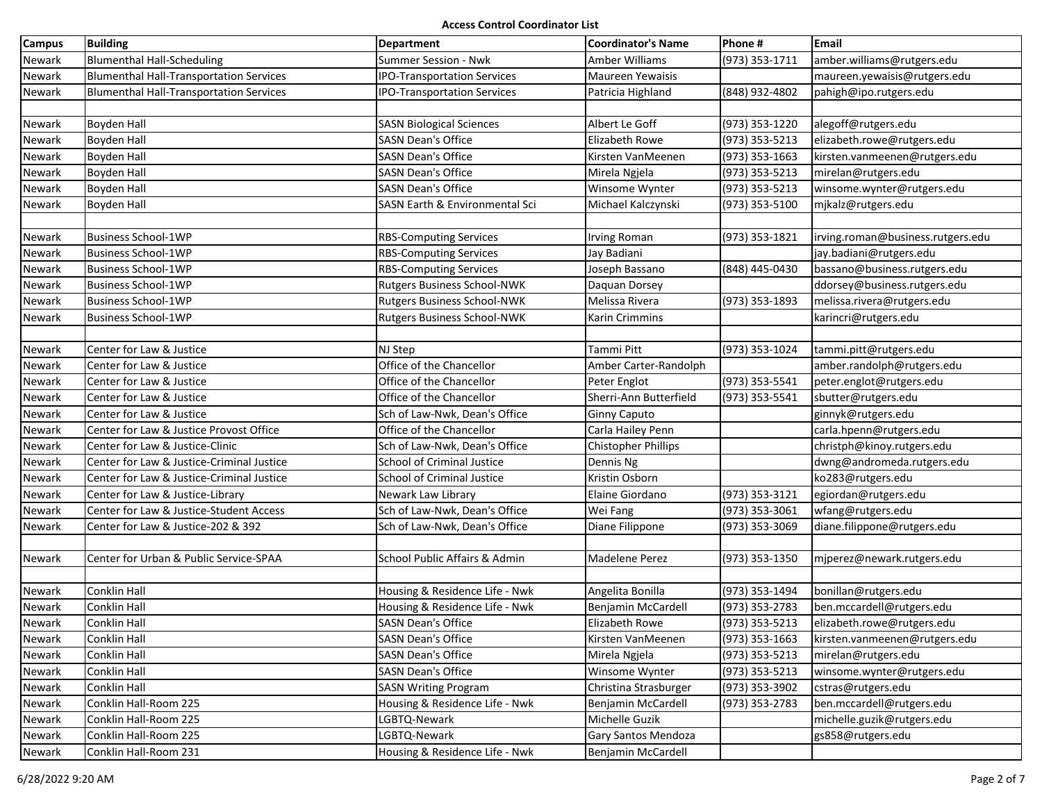| <b>Campus</b> | <b>Building</b>                                | Department                                | <b>Coordinator's Name</b> | Phone #        | Email                             |
|---------------|------------------------------------------------|-------------------------------------------|---------------------------|----------------|-----------------------------------|
| <b>Newark</b> | <b>Blumenthal Hall-Scheduling</b>              | Summer Session - Nwk                      | Amber Williams            | (973) 353-1711 | amber.williams@rutgers.edu        |
| Newark        | <b>Blumenthal Hall-Transportation Services</b> | <b>IPO-Transportation Services</b>        | Maureen Yewaisis          |                | maureen.yewaisis@rutgers.edu      |
| Newark        | <b>Blumenthal Hall-Transportation Services</b> | <b>IPO-Transportation Services</b>        | Patricia Highland         | (848) 932-4802 | pahigh@ipo.rutgers.edu            |
|               |                                                |                                           |                           |                |                                   |
| Newark        | <b>Boyden Hall</b>                             | <b>SASN Biological Sciences</b>           | Albert Le Goff            | (973) 353-1220 | alegoff@rutgers.edu               |
| Newark        | <b>Boyden Hall</b>                             | <b>SASN Dean's Office</b>                 | Elizabeth Rowe            | (973) 353-5213 | elizabeth.rowe@rutgers.edu        |
| Newark        | Boyden Hall                                    | <b>SASN Dean's Office</b>                 | Kirsten VanMeenen         | (973) 353-1663 | kirsten.vanmeenen@rutgers.edu     |
| Newark        | <b>Boyden Hall</b>                             | <b>SASN Dean's Office</b>                 | Mirela Ngjela             | (973) 353-5213 | mirelan@rutgers.edu               |
| Newark        | <b>Boyden Hall</b>                             | <b>SASN Dean's Office</b>                 | Winsome Wynter            | (973) 353-5213 | winsome.wynter@rutgers.edu        |
| Newark        | <b>Boyden Hall</b>                             | <b>SASN Earth &amp; Environmental Sci</b> | Michael Kalczynski        | (973) 353-5100 | mjkalz@rutgers.edu                |
|               |                                                |                                           |                           |                |                                   |
| Newark        | <b>Business School-1WP</b>                     | <b>RBS-Computing Services</b>             | Irving Roman              | (973) 353-1821 | irving.roman@business.rutgers.edu |
| Newark        | <b>Business School-1WP</b>                     | <b>RBS-Computing Services</b>             | Jay Badiani               |                | jay.badiani@rutgers.edu           |
| Newark        | <b>Business School-1WP</b>                     | <b>RBS-Computing Services</b>             | Joseph Bassano            | (848) 445-0430 | bassano@business.rutgers.edu      |
| Newark        | <b>Business School-1WP</b>                     | Rutgers Business School-NWK               | Daquan Dorsey             |                | ddorsey@business.rutgers.edu      |
| <b>Newark</b> | <b>Business School-1WP</b>                     | Rutgers Business School-NWK               | Melissa Rivera            | (973) 353-1893 | melissa.rivera@rutgers.edu        |
| Newark        | <b>Business School-1WP</b>                     | <b>Rutgers Business School-NWK</b>        | Karin Crimmins            |                | karincri@rutgers.edu              |
|               |                                                |                                           |                           |                |                                   |
| Newark        | Center for Law & Justice                       | NJ Step                                   | Tammi Pitt                | (973) 353-1024 | tammi.pitt@rutgers.edu            |
| Newark        | Center for Law & Justice                       | Office of the Chancellor                  | Amber Carter-Randolph     |                | amber.randolph@rutgers.edu        |
| Newark        | Center for Law & Justice                       | Office of the Chancellor                  | Peter Englot              | (973) 353-5541 | peter.englot@rutgers.edu          |
| Newark        | Center for Law & Justice                       | Office of the Chancellor                  | Sherri-Ann Butterfield    | (973) 353-5541 | sbutter@rutgers.edu               |
| Newark        | Center for Law & Justice                       | Sch of Law-Nwk, Dean's Office             | Ginny Caputo              |                | ginnyk@rutgers.edu                |
| Newark        | Center for Law & Justice Provost Office        | Office of the Chancellor                  | Carla Hailey Penn         |                | carla.hpenn@rutgers.edu           |
| Newark        | Center for Law & Justice-Clinic                | Sch of Law-Nwk, Dean's Office             | Chistopher Phillips       |                | christph@kinoy.rutgers.edu        |
| Newark        | Center for Law & Justice-Criminal Justice      | <b>School of Criminal Justice</b>         | Dennis Ng                 |                | dwng@andromeda.rutgers.edu        |
| Newark        | Center for Law & Justice-Criminal Justice      | <b>School of Criminal Justice</b>         | Kristin Osborn            |                | ko283@rutgers.edu                 |
| Newark        | Center for Law & Justice-Library               | Newark Law Library                        | Elaine Giordano           | (973) 353-3121 | egiordan@rutgers.edu              |
| Newark        | Center for Law & Justice-Student Access        | Sch of Law-Nwk, Dean's Office             | Wei Fang                  | (973) 353-3061 | wfang@rutgers.edu                 |
| Newark        | Center for Law & Justice-202 & 392             | Sch of Law-Nwk, Dean's Office             | Diane Filippone           | (973) 353-3069 | diane.filippone@rutgers.edu       |
|               |                                                |                                           |                           |                |                                   |
| Newark        | Center for Urban & Public Service-SPAA         | School Public Affairs & Admin             | Madelene Perez            | (973) 353-1350 | mjperez@newark.rutgers.edu        |
|               |                                                |                                           |                           |                |                                   |
| Newark        | <b>Conklin Hall</b>                            | Housing & Residence Life - Nwk            | Angelita Bonilla          | (973) 353-1494 | bonillan@rutgers.edu              |
| Newark        | Conklin Hall                                   | Housing & Residence Life - Nwk            | Benjamin McCardell        | (973) 353-2783 | ben.mccardell@rutgers.edu         |
| Newark        | Conklin Hall                                   | <b>SASN Dean's Office</b>                 | Elizabeth Rowe            | (973) 353-5213 | elizabeth.rowe@rutgers.edu        |
| Newark        | Conklin Hall                                   | <b>SASN Dean's Office</b>                 | Kirsten VanMeenen         | (973) 353-1663 | kirsten.vanmeenen@rutgers.edu     |
| Newark        | Conklin Hall                                   | <b>SASN Dean's Office</b>                 | Mirela Ngjela             | (973) 353-5213 | mirelan@rutgers.edu               |
| Newark        | Conklin Hall                                   | <b>SASN Dean's Office</b>                 | Winsome Wynter            | (973) 353-5213 | winsome.wynter@rutgers.edu        |
| Newark        | Conklin Hall                                   | <b>SASN Writing Program</b>               | Christina Strasburger     | (973) 353-3902 | cstras@rutgers.edu                |
| Newark        | Conklin Hall-Room 225                          | Housing & Residence Life - Nwk            | Benjamin McCardell        | (973) 353-2783 | ben.mccardell@rutgers.edu         |
| Newark        | Conklin Hall-Room 225                          | LGBTQ-Newark                              | Michelle Guzik            |                | michelle.guzik@rutgers.edu        |
| Newark        | Conklin Hall-Room 225                          | LGBTQ-Newark                              | Gary Santos Mendoza       |                | gs858@rutgers.edu                 |
| Newark        | Conklin Hall-Room 231                          | Housing & Residence Life - Nwk            | Benjamin McCardell        |                |                                   |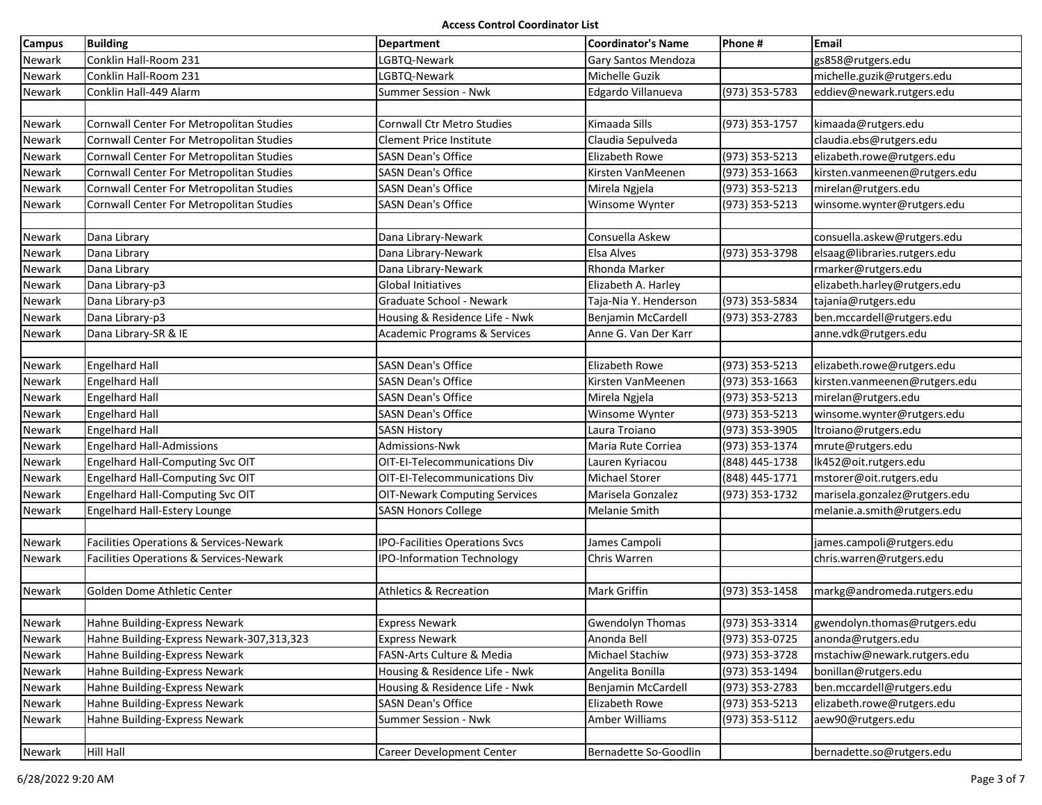| <b>Campus</b> | <b>Building</b>                           | Department                              | <b>Coordinator's Name</b>  | Phone #          | Email                                           |
|---------------|-------------------------------------------|-----------------------------------------|----------------------------|------------------|-------------------------------------------------|
| Newark        | Conklin Hall-Room 231                     | LGBTQ-Newark                            | <b>Gary Santos Mendoza</b> |                  | gs858@rutgers.edu                               |
| Newark        | Conklin Hall-Room 231                     | LGBTQ-Newark                            | Michelle Guzik             |                  | michelle.guzik@rutgers.edu                      |
| Newark        | Conklin Hall-449 Alarm                    | Summer Session - Nwk                    | Edgardo Villanueva         | (973) 353-5783   | eddiev@newark.rutgers.edu                       |
|               |                                           |                                         |                            |                  |                                                 |
| Newark        | Cornwall Center For Metropolitan Studies  | <b>Cornwall Ctr Metro Studies</b>       | Kimaada Sills              | (973) 353-1757   | kimaada@rutgers.edu                             |
| Newark        | Cornwall Center For Metropolitan Studies  | <b>Clement Price Institute</b>          | Claudia Sepulveda          |                  | claudia.ebs@rutgers.edu                         |
| Newark        | Cornwall Center For Metropolitan Studies  | <b>SASN Dean's Office</b>               | <b>Elizabeth Rowe</b>      | (973) 353-5213   | elizabeth.rowe@rutgers.edu                      |
| Newark        | Cornwall Center For Metropolitan Studies  | <b>SASN Dean's Office</b>               | Kirsten VanMeenen          | (973) 353-1663   | kirsten.vanmeenen@rutgers.edu                   |
| Newark        | Cornwall Center For Metropolitan Studies  | <b>SASN Dean's Office</b>               | Mirela Ngjela              | (973) 353-5213   | mirelan@rutgers.edu                             |
| Newark        | Cornwall Center For Metropolitan Studies  | <b>SASN Dean's Office</b>               | Winsome Wynter             | (973) 353-5213   | winsome.wynter@rutgers.edu                      |
|               |                                           |                                         |                            |                  |                                                 |
| Newark        | Dana Library                              | Dana Library-Newark                     | Consuella Askew            |                  | consuella.askew@rutgers.edu                     |
| Newark        | Dana Library                              | Dana Library-Newark                     | Elsa Alves                 | (973) 353-3798   | elsaag@libraries.rutgers.edu                    |
| Newark        | Dana Library                              | Dana Library-Newark                     | Rhonda Marker              |                  | rmarker@rutgers.edu                             |
| Newark        | Dana Library-p3                           | <b>Global Initiatives</b>               | Elizabeth A. Harley        |                  | elizabeth.harley@rutgers.edu                    |
| Newark        | Dana Library-p3                           | Graduate School - Newark                | Taja-Nia Y. Henderson      | (973) 353-5834   | tajania@rutgers.edu                             |
| Newark        | Dana Library-p3                           | Housing & Residence Life - Nwk          | Benjamin McCardell         | (973) 353-2783   | ben.mccardell@rutgers.edu                       |
| Newark        | Dana Library-SR & IE                      | <b>Academic Programs &amp; Services</b> | Anne G. Van Der Karr       |                  | anne.vdk@rutgers.edu                            |
|               |                                           |                                         |                            |                  |                                                 |
| Newark        | <b>Engelhard Hall</b>                     | <b>SASN Dean's Office</b>               | Elizabeth Rowe             | (973) 353-5213   | elizabeth.rowe@rutgers.edu                      |
| Newark        | <b>Engelhard Hall</b>                     | <b>SASN Dean's Office</b>               | Kirsten VanMeenen          | (973) 353-1663   | kirsten.vanmeenen@rutgers.edu                   |
| Newark        | <b>Engelhard Hall</b>                     | <b>SASN Dean's Office</b>               | Mirela Ngjela              | (973) 353-5213   | mirelan@rutgers.edu                             |
| Newark        | <b>Engelhard Hall</b>                     | <b>SASN Dean's Office</b>               | Winsome Wynter             | (973) 353-5213   | winsome.wynter@rutgers.edu                      |
| Newark        | <b>Engelhard Hall</b>                     | <b>SASN History</b>                     | Laura Troiano              | $(973)$ 353-3905 | Itroiano@rutgers.edu                            |
| Newark        | <b>Engelhard Hall-Admissions</b>          | Admissions-Nwk                          | Maria Rute Corriea         | (973) 353-1374   | mrute@rutgers.edu                               |
| Newark        | Engelhard Hall-Computing Svc OIT          | OIT-EI-Telecommunications Div           | Lauren Kyriacou            | (848) 445-1738   | lk452@oit.rutgers.edu                           |
| Newark        | Engelhard Hall-Computing Svc OIT          | OIT-EI-Telecommunications Div           | <b>Michael Storer</b>      | (848) 445-1771   | mstorer@oit.rutgers.edu                         |
| Newark        | Engelhard Hall-Computing Svc OIT          | <b>OIT-Newark Computing Services</b>    | Marisela Gonzalez          | (973) 353-1732   | marisela.gonzalez@rutgers.edu                   |
| Newark        | Engelhard Hall-Estery Lounge              | <b>SASN Honors College</b>              | <b>Melanie Smith</b>       |                  | melanie.a.smith@rutgers.edu                     |
|               |                                           |                                         |                            |                  |                                                 |
| Newark        | Facilities Operations & Services-Newark   | <b>IPO-Facilities Operations Svcs</b>   | James Campoli              |                  | james.campoli@rutgers.edu                       |
| Newark        | Facilities Operations & Services-Newark   | <b>IPO-Information Technology</b>       | Chris Warren               |                  | chris.warren@rutgers.edu                        |
|               |                                           |                                         |                            |                  |                                                 |
| Newark        | Golden Dome Athletic Center               | <b>Athletics &amp; Recreation</b>       | <b>Mark Griffin</b>        | (973) 353-1458   | markg@andromeda.rutgers.edu                     |
|               |                                           |                                         |                            |                  |                                                 |
| Newark        | Hahne Building-Express Newark             | <b>Express Newark</b>                   | <b>Gwendolyn Thomas</b>    |                  | (973) 353-3314 $ $ gwendolyn.thomas@rutgers.edu |
| <b>Newark</b> | Hahne Building-Express Newark-307,313,323 | <b>Express Newark</b>                   | Anonda Bell                | (973) 353-0725   | anonda@rutgers.edu                              |
| Newark        | Hahne Building-Express Newark             | FASN-Arts Culture & Media               | Michael Stachiw            | (973) 353-3728   | mstachiw@newark.rutgers.edu                     |
| Newark        | Hahne Building-Express Newark             | Housing & Residence Life - Nwk          | Angelita Bonilla           | (973) 353-1494   | bonillan@rutgers.edu                            |
| Newark        | Hahne Building-Express Newark             | Housing & Residence Life - Nwk          | Benjamin McCardell         | (973) 353-2783   | ben.mccardell@rutgers.edu                       |
| Newark        | Hahne Building-Express Newark             | <b>SASN Dean's Office</b>               | Elizabeth Rowe             | (973) 353-5213   | elizabeth.rowe@rutgers.edu                      |
| Newark        | Hahne Building-Express Newark             | Summer Session - Nwk                    | Amber Williams             | (973) 353-5112   | aew90@rutgers.edu                               |
|               |                                           |                                         |                            |                  |                                                 |
| Newark        | <b>Hill Hall</b>                          | <b>Career Development Center</b>        | Bernadette So-Goodlin      |                  | bernadette.so@rutgers.edu                       |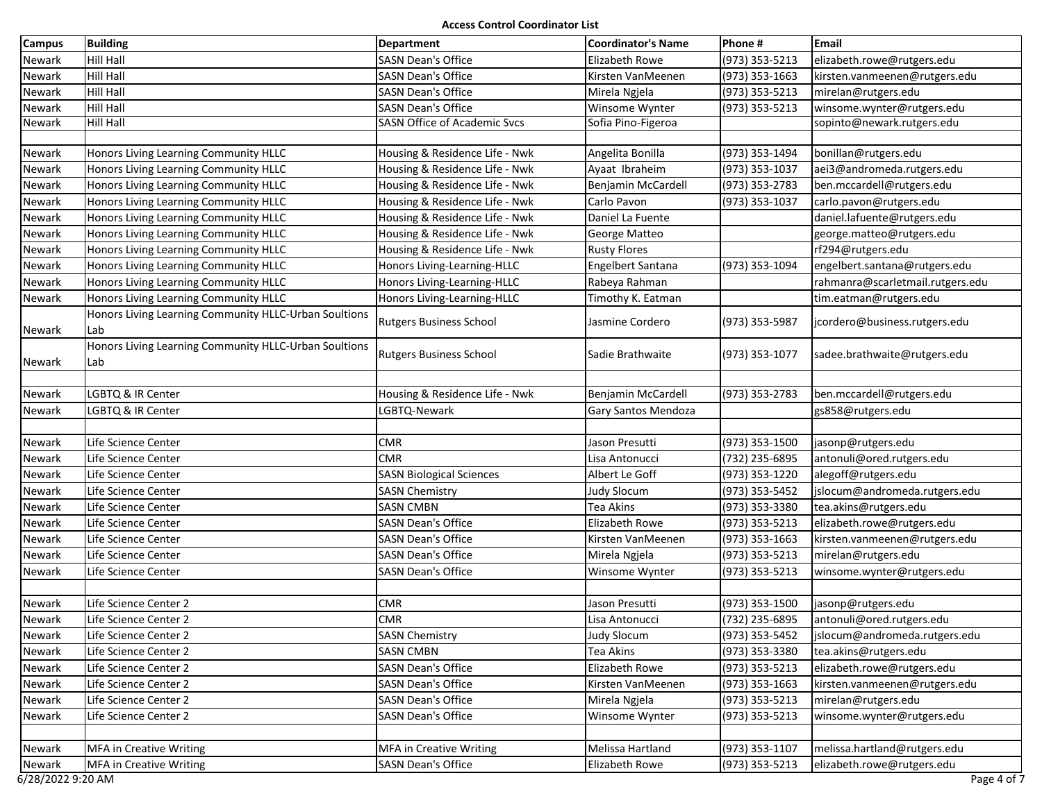| <b>Campus</b>     | <b>Building</b>                                       | <b>Department</b>               | <b>Coordinator's Name</b> | Phone #        | <b>Email</b>                     |
|-------------------|-------------------------------------------------------|---------------------------------|---------------------------|----------------|----------------------------------|
| Newark            | Hill Hall                                             | <b>SASN Dean's Office</b>       | Elizabeth Rowe            | (973) 353-5213 | elizabeth.rowe@rutgers.edu       |
| Newark            | Hill Hall                                             | <b>SASN Dean's Office</b>       | Kirsten VanMeenen         | (973) 353-1663 | kirsten.vanmeenen@rutgers.edu    |
| Newark            | Hill Hall                                             | <b>SASN Dean's Office</b>       | Mirela Ngjela             | (973) 353-5213 | mirelan@rutgers.edu              |
| Newark            | Hill Hall                                             | <b>SASN Dean's Office</b>       | Winsome Wynter            | (973) 353-5213 | winsome.wynter@rutgers.edu       |
| Newark            | Hill Hall                                             | SASN Office of Academic Svcs    | Sofia Pino-Figeroa        |                | sopinto@newark.rutgers.edu       |
|                   |                                                       |                                 |                           |                |                                  |
| Newark            | Honors Living Learning Community HLLC                 | Housing & Residence Life - Nwk  | Angelita Bonilla          | (973) 353-1494 | bonillan@rutgers.edu             |
| Newark            | Honors Living Learning Community HLLC                 | Housing & Residence Life - Nwk  | Ayaat Ibraheim            | (973) 353-1037 | aei3@andromeda.rutgers.edu       |
| Newark            | Honors Living Learning Community HLLC                 | Housing & Residence Life - Nwk  | Benjamin McCardell        | (973) 353-2783 | ben.mccardell@rutgers.edu        |
| Newark            | Honors Living Learning Community HLLC                 | Housing & Residence Life - Nwk  | Carlo Pavon               | (973) 353-1037 | carlo.pavon@rutgers.edu          |
| Newark            | Honors Living Learning Community HLLC                 | Housing & Residence Life - Nwk  | Daniel La Fuente          |                | daniel.lafuente@rutgers.edu      |
| Newark            | Honors Living Learning Community HLLC                 | Housing & Residence Life - Nwk  | George Matteo             |                | george.matteo@rutgers.edu        |
| Newark            | Honors Living Learning Community HLLC                 | Housing & Residence Life - Nwk  | <b>Rusty Flores</b>       |                | rf294@rutgers.edu                |
| Newark            | Honors Living Learning Community HLLC                 | Honors Living-Learning-HLLC     | Engelbert Santana         | (973) 353-1094 | engelbert.santana@rutgers.edu    |
| Newark            | Honors Living Learning Community HLLC                 | Honors Living-Learning-HLLC     | Rabeya Rahman             |                | rahmanra@scarletmail.rutgers.edu |
| Newark            | Honors Living Learning Community HLLC                 | Honors Living-Learning-HLLC     | Timothy K. Eatman         |                | tim.eatman@rutgers.edu           |
|                   | Honors Living Learning Community HLLC-Urban Soultions | <b>Rutgers Business School</b>  | Jasmine Cordero           | (973) 353-5987 | jcordero@business.rutgers.edu    |
| Newark            | Lab                                                   |                                 |                           |                |                                  |
|                   | Honors Living Learning Community HLLC-Urban Soultions | <b>Rutgers Business School</b>  | Sadie Brathwaite          | (973) 353-1077 | sadee.brathwaite@rutgers.edu     |
| Newark            | Lab                                                   |                                 |                           |                |                                  |
|                   |                                                       |                                 |                           |                |                                  |
| Newark            | LGBTQ & IR Center                                     | Housing & Residence Life - Nwk  | Benjamin McCardell        | (973) 353-2783 | ben.mccardell@rutgers.edu        |
| Newark            | LGBTQ & IR Center                                     | LGBTQ-Newark                    | Gary Santos Mendoza       |                | gs858@rutgers.edu                |
|                   |                                                       |                                 |                           |                |                                  |
| Newark            | Life Science Center                                   | <b>CMR</b>                      | Jason Presutti            | (973) 353-1500 | jasonp@rutgers.edu               |
| Newark            | Life Science Center                                   | <b>CMR</b>                      | Lisa Antonucci            | (732) 235-6895 | antonuli@ored.rutgers.edu        |
| Newark            | Life Science Center                                   | <b>SASN Biological Sciences</b> | Albert Le Goff            | (973) 353-1220 | alegoff@rutgers.edu              |
| Newark            | Life Science Center                                   | <b>SASN Chemistry</b>           | <b>Judy Slocum</b>        | (973) 353-5452 | jslocum@andromeda.rutgers.edu    |
| Newark            | Life Science Center                                   | <b>SASN CMBN</b>                | Tea Akins                 | (973) 353-3380 | tea.akins@rutgers.edu            |
| Newark            | Life Science Center                                   | <b>SASN Dean's Office</b>       | Elizabeth Rowe            | (973) 353-5213 | elizabeth.rowe@rutgers.edu       |
| Newark            | Life Science Center                                   | SASN Dean's Office              | Kirsten VanMeenen         | (973) 353-1663 | kirsten.vanmeenen@rutgers.edu    |
| Newark            | Life Science Center                                   | <b>SASN Dean's Office</b>       | Mirela Ngjela             | (973) 353-5213 | mirelan@rutgers.edu              |
| Newark            | Life Science Center                                   | <b>SASN Dean's Office</b>       | Winsome Wynter            | (973) 353-5213 | winsome.wynter@rutgers.edu       |
|                   |                                                       |                                 |                           |                |                                  |
| Newark            | Life Science Center 2                                 | <b>CMR</b>                      | Jason Presutti            | (973) 353-1500 | jasonp@rutgers.edu               |
| <b>Newark</b>     | Life Science Center 2                                 | <b>CMR</b>                      | Lisa Antonucci            | (732) 235-6895 | antonuli@ored.rutgers.edu        |
| Newark            | Life Science Center 2                                 | <b>SASN Chemistry</b>           | <b>Judy Slocum</b>        | (973) 353-5452 | jslocum@andromeda.rutgers.edu    |
| Newark            | Life Science Center 2                                 | <b>SASN CMBN</b>                | Tea Akins                 | (973) 353-3380 | tea.akins@rutgers.edu            |
| Newark            | Life Science Center 2                                 | <b>SASN Dean's Office</b>       | Elizabeth Rowe            | (973) 353-5213 | elizabeth.rowe@rutgers.edu       |
| Newark            | Life Science Center 2                                 | <b>SASN Dean's Office</b>       | Kirsten VanMeenen         | (973) 353-1663 | kirsten.vanmeenen@rutgers.edu    |
| Newark            | Life Science Center 2                                 | <b>SASN Dean's Office</b>       | Mirela Ngjela             | (973) 353-5213 | mirelan@rutgers.edu              |
| Newark            | Life Science Center 2                                 | <b>SASN Dean's Office</b>       | Winsome Wynter            | (973) 353-5213 | winsome.wynter@rutgers.edu       |
|                   |                                                       |                                 |                           |                |                                  |
| Newark            | <b>MFA in Creative Writing</b>                        | <b>MFA in Creative Writing</b>  | Melissa Hartland          | (973) 353-1107 | melissa.hartland@rutgers.edu     |
| Newark            | <b>MFA in Creative Writing</b>                        | <b>SASN Dean's Office</b>       | Elizabeth Rowe            | (973) 353-5213 | elizabeth.rowe@rutgers.edu       |
| 6/28/2022 9:20 AM |                                                       |                                 |                           |                | Page 4 of 7                      |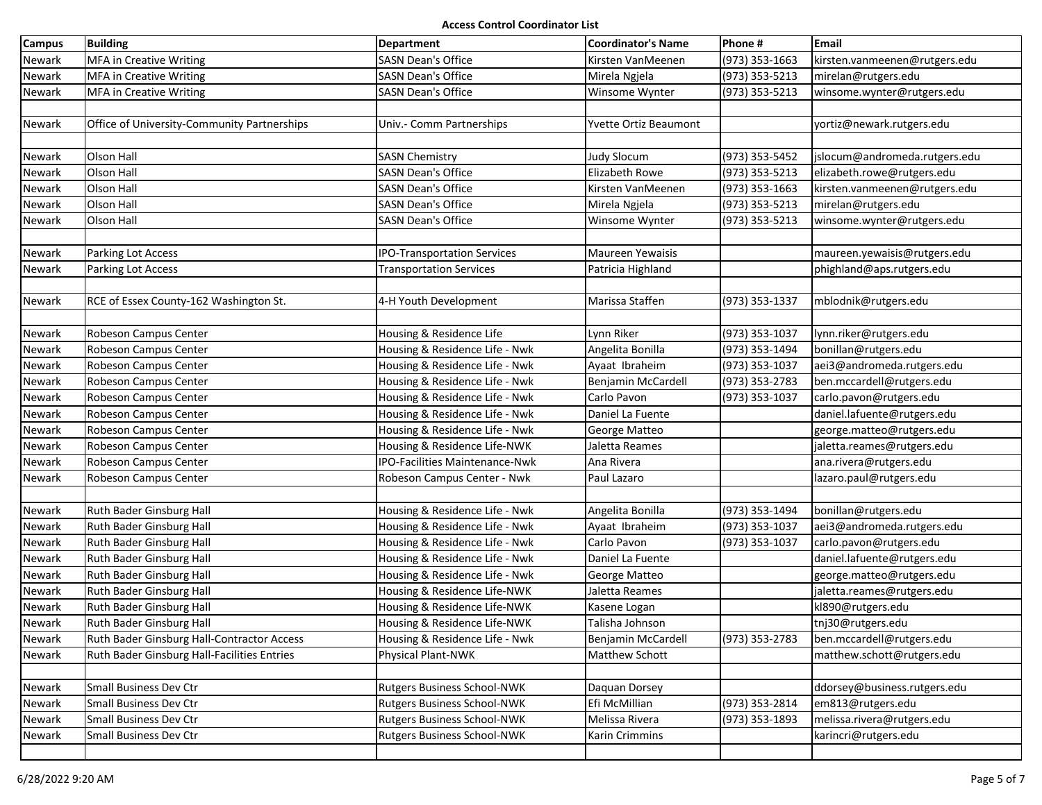| <b>Campus</b> | <b>Building</b>                             | Department                         | <b>Coordinator's Name</b> | Phone #        | Email                         |
|---------------|---------------------------------------------|------------------------------------|---------------------------|----------------|-------------------------------|
| Newark        | <b>MFA in Creative Writing</b>              | <b>SASN Dean's Office</b>          | Kirsten VanMeenen         | (973) 353-1663 | kirsten.vanmeenen@rutgers.edu |
| Newark        | <b>MFA in Creative Writing</b>              | <b>SASN Dean's Office</b>          | Mirela Ngjela             | (973) 353-5213 | mirelan@rutgers.edu           |
| Newark        | <b>MFA in Creative Writing</b>              | <b>SASN Dean's Office</b>          | Winsome Wynter            | (973) 353-5213 | winsome.wynter@rutgers.edu    |
|               |                                             |                                    |                           |                |                               |
| Newark        | Office of University-Community Partnerships | Univ.- Comm Partnerships           | Yvette Ortiz Beaumont     |                | yortiz@newark.rutgers.edu     |
|               |                                             |                                    |                           |                |                               |
| Newark        | Olson Hall                                  | <b>SASN Chemistry</b>              | <b>Judy Slocum</b>        | (973) 353-5452 | jslocum@andromeda.rutgers.edu |
| Newark        | Olson Hall                                  | <b>SASN Dean's Office</b>          | <b>Elizabeth Rowe</b>     | (973) 353-5213 | elizabeth.rowe@rutgers.edu    |
| Newark        | Olson Hall                                  | <b>SASN Dean's Office</b>          | Kirsten VanMeenen         | (973) 353-1663 | kirsten.vanmeenen@rutgers.edu |
| Newark        | Olson Hall                                  | <b>SASN Dean's Office</b>          | Mirela Ngjela             | (973) 353-5213 | mirelan@rutgers.edu           |
| Newark        | Olson Hall                                  | <b>SASN Dean's Office</b>          | Winsome Wynter            | (973) 353-5213 | winsome.wynter@rutgers.edu    |
|               |                                             |                                    |                           |                |                               |
| Newark        | Parking Lot Access                          | <b>IPO-Transportation Services</b> | <b>Maureen Yewaisis</b>   |                | maureen.yewaisis@rutgers.edu  |
| Newark        | Parking Lot Access                          | <b>Transportation Services</b>     | Patricia Highland         |                | phighland@aps.rutgers.edu     |
|               |                                             |                                    |                           |                |                               |
| Newark        | RCE of Essex County-162 Washington St.      | 4-H Youth Development              | Marissa Staffen           | (973) 353-1337 | mblodnik@rutgers.edu          |
|               |                                             |                                    |                           |                |                               |
| Newark        | Robeson Campus Center                       | Housing & Residence Life           | Lynn Riker                | (973) 353-1037 | lynn.riker@rutgers.edu        |
| Newark        | Robeson Campus Center                       | Housing & Residence Life - Nwk     | Angelita Bonilla          | (973) 353-1494 | bonillan@rutgers.edu          |
| Newark        | Robeson Campus Center                       | Housing & Residence Life - Nwk     | Ayaat Ibraheim            | (973) 353-1037 | aei3@andromeda.rutgers.edu    |
| Newark        | Robeson Campus Center                       | Housing & Residence Life - Nwk     | Benjamin McCardell        | (973) 353-2783 | ben.mccardell@rutgers.edu     |
| Newark        | Robeson Campus Center                       | Housing & Residence Life - Nwk     | Carlo Pavon               | (973) 353-1037 | carlo.pavon@rutgers.edu       |
| Newark        | Robeson Campus Center                       | Housing & Residence Life - Nwk     | Daniel La Fuente          |                | daniel.lafuente@rutgers.edu   |
| Newark        | Robeson Campus Center                       | Housing & Residence Life - Nwk     | George Matteo             |                | george.matteo@rutgers.edu     |
| Newark        | Robeson Campus Center                       | Housing & Residence Life-NWK       | Jaletta Reames            |                | jaletta.reames@rutgers.edu    |
| Newark        | Robeson Campus Center                       | IPO-Facilities Maintenance-Nwk     | Ana Rivera                |                | ana.rivera@rutgers.edu        |
| Newark        | Robeson Campus Center                       | Robeson Campus Center - Nwk        | Paul Lazaro               |                | lazaro.paul@rutgers.edu       |
|               |                                             |                                    |                           |                |                               |
| Newark        | Ruth Bader Ginsburg Hall                    | Housing & Residence Life - Nwk     | Angelita Bonilla          | (973) 353-1494 | bonillan@rutgers.edu          |
| Newark        | Ruth Bader Ginsburg Hall                    | Housing & Residence Life - Nwk     | Ayaat Ibraheim            | (973) 353-1037 | aei3@andromeda.rutgers.edu    |
| Newark        | Ruth Bader Ginsburg Hall                    | Housing & Residence Life - Nwk     | Carlo Pavon               | (973) 353-1037 | carlo.pavon@rutgers.edu       |
| Newark        | Ruth Bader Ginsburg Hall                    | Housing & Residence Life - Nwk     | Daniel La Fuente          |                | daniel.lafuente@rutgers.edu   |
| Newark        | Ruth Bader Ginsburg Hall                    | Housing & Residence Life - Nwk     | George Matteo             |                | george.matteo@rutgers.edu     |
| Newark        | Ruth Bader Ginsburg Hall                    | Housing & Residence Life-NWK       | Jaletta Reames            |                | jaletta.reames@rutgers.edu    |
| Newark        | Ruth Bader Ginsburg Hall                    | Housing & Residence Life-NWK       | Kasene Logan              |                | kl890@rutgers.edu             |
| Newark        | Ruth Bader Ginsburg Hall                    | Housing & Residence Life-NWK       | Talisha Johnson           |                | tnj30@rutgers.edu             |
| Newark        | Ruth Bader Ginsburg Hall-Contractor Access  | Housing & Residence Life - Nwk     | <b>Benjamin McCardell</b> | (973) 353-2783 | ben.mccardell@rutgers.edu     |
| Newark        | Ruth Bader Ginsburg Hall-Facilities Entries | Physical Plant-NWK                 | Matthew Schott            |                | matthew.schott@rutgers.edu    |
|               |                                             |                                    |                           |                |                               |
| Newark        | Small Business Dev Ctr                      | Rutgers Business School-NWK        | Daquan Dorsey             |                | ddorsey@business.rutgers.edu  |
| Newark        | Small Business Dev Ctr                      | Rutgers Business School-NWK        | Efi McMillian             | (973) 353-2814 | em813@rutgers.edu             |
| Newark        | Small Business Dev Ctr                      | Rutgers Business School-NWK        | Melissa Rivera            | (973) 353-1893 | melissa.rivera@rutgers.edu    |
| Newark        | Small Business Dev Ctr                      | Rutgers Business School-NWK        | Karin Crimmins            |                | karincri@rutgers.edu          |
|               |                                             |                                    |                           |                |                               |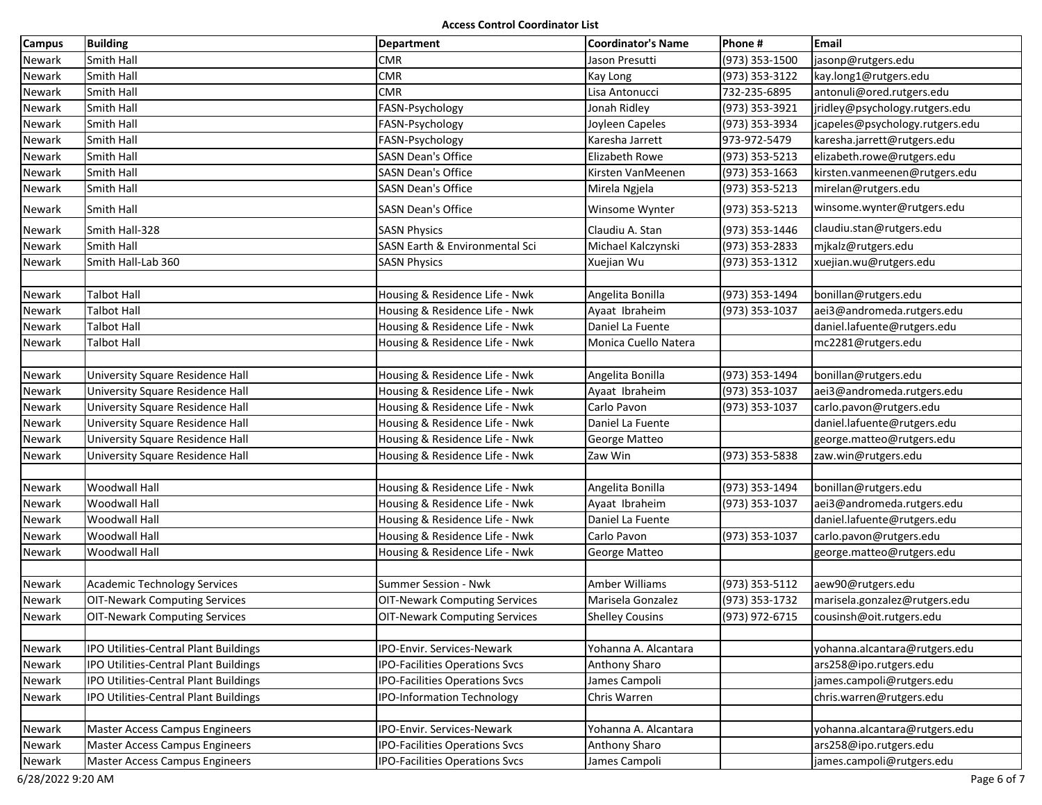| Campus | <b>Building</b>                       | Department                            | <b>Coordinator's Name</b> | Phone #        | <b>Email</b>                    |
|--------|---------------------------------------|---------------------------------------|---------------------------|----------------|---------------------------------|
| Newark | Smith Hall                            | <b>CMR</b>                            | Jason Presutti            | (973) 353-1500 | jasonp@rutgers.edu              |
| Newark | Smith Hall                            | <b>CMR</b>                            | Kay Long                  | (973) 353-3122 | kay.long1@rutgers.edu           |
| Newark | Smith Hall                            | <b>CMR</b>                            | Lisa Antonucci            | 732-235-6895   | antonuli@ored.rutgers.edu       |
| Newark | Smith Hall                            | FASN-Psychology                       | Jonah Ridley              | (973) 353-3921 | jridley@psychology.rutgers.edu  |
| Newark | Smith Hall                            | FASN-Psychology                       | Joyleen Capeles           | (973) 353-3934 | jcapeles@psychology.rutgers.edu |
| Newark | Smith Hall                            | FASN-Psychology                       | Karesha Jarrett           | 973-972-5479   | karesha.jarrett@rutgers.edu     |
| Newark | Smith Hall                            | <b>SASN Dean's Office</b>             | Elizabeth Rowe            | (973) 353-5213 | elizabeth.rowe@rutgers.edu      |
| Newark | Smith Hall                            | <b>SASN Dean's Office</b>             | Kirsten VanMeenen         | (973) 353-1663 | kirsten.vanmeenen@rutgers.edu   |
| Newark | Smith Hall                            | <b>SASN Dean's Office</b>             | Mirela Ngjela             | (973) 353-5213 | mirelan@rutgers.edu             |
| Newark | Smith Hall                            | <b>SASN Dean's Office</b>             | Winsome Wynter            | (973) 353-5213 | winsome.wynter@rutgers.edu      |
| Newark | Smith Hall-328                        | <b>SASN Physics</b>                   | Claudiu A. Stan           | (973) 353-1446 | claudiu.stan@rutgers.edu        |
| Newark | Smith Hall                            | SASN Earth & Environmental Sci        | Michael Kalczynski        | (973) 353-2833 | mjkalz@rutgers.edu              |
| Newark | Smith Hall-Lab 360                    | <b>SASN Physics</b>                   | Xuejian Wu                | (973) 353-1312 | xuejian.wu@rutgers.edu          |
|        |                                       |                                       |                           |                |                                 |
| Newark | Talbot Hall                           | Housing & Residence Life - Nwk        | Angelita Bonilla          | (973) 353-1494 | bonillan@rutgers.edu            |
| Newark | Talbot Hall                           | Housing & Residence Life - Nwk        | Ayaat Ibraheim            | (973) 353-1037 | aei3@andromeda.rutgers.edu      |
| Newark | Talbot Hall                           | Housing & Residence Life - Nwk        | Daniel La Fuente          |                | daniel.lafuente@rutgers.edu     |
| Newark | Talbot Hall                           | Housing & Residence Life - Nwk        | Monica Cuello Natera      |                | mc2281@rutgers.edu              |
|        |                                       |                                       |                           |                |                                 |
| Newark | University Square Residence Hall      | Housing & Residence Life - Nwk        | Angelita Bonilla          | (973) 353-1494 | bonillan@rutgers.edu            |
| Newark | University Square Residence Hall      | Housing & Residence Life - Nwk        | Ayaat Ibraheim            | (973) 353-1037 | aei3@andromeda.rutgers.edu      |
| Newark | University Square Residence Hall      | Housing & Residence Life - Nwk        | Carlo Pavon               | (973) 353-1037 | carlo.pavon@rutgers.edu         |
| Newark | University Square Residence Hall      | Housing & Residence Life - Nwk        | Daniel La Fuente          |                | daniel.lafuente@rutgers.edu     |
| Newark | University Square Residence Hall      | Housing & Residence Life - Nwk        | George Matteo             |                | george.matteo@rutgers.edu       |
| Newark | University Square Residence Hall      | Housing & Residence Life - Nwk        | Zaw Win                   | (973) 353-5838 | zaw.win@rutgers.edu             |
|        |                                       |                                       |                           |                |                                 |
| Newark | Woodwall Hall                         | Housing & Residence Life - Nwk        | Angelita Bonilla          | (973) 353-1494 | bonillan@rutgers.edu            |
| Newark | Woodwall Hall                         | Housing & Residence Life - Nwk        | Ayaat Ibraheim            | (973) 353-1037 | aei3@andromeda.rutgers.edu      |
| Newark | Woodwall Hall                         | Housing & Residence Life - Nwk        | Daniel La Fuente          |                | daniel.lafuente@rutgers.edu     |
| Newark | Woodwall Hall                         | Housing & Residence Life - Nwk        | Carlo Pavon               | (973) 353-1037 | carlo.pavon@rutgers.edu         |
| Newark | Woodwall Hall                         | Housing & Residence Life - Nwk        | George Matteo             |                | george.matteo@rutgers.edu       |
|        |                                       |                                       |                           |                |                                 |
| Newark | <b>Academic Technology Services</b>   | Summer Session - Nwk                  | Amber Williams            | (973) 353-5112 | aew90@rutgers.edu               |
| Newark | <b>OIT-Newark Computing Services</b>  | <b>OIT-Newark Computing Services</b>  | Marisela Gonzalez         | (973) 353-1732 | marisela.gonzalez@rutgers.edu   |
| Newark | <b>OIT-Newark Computing Services</b>  | <b>OIT-Newark Computing Services</b>  | <b>Shelley Cousins</b>    | (973) 972-6715 | cousinsh@oit.rutgers.edu        |
|        |                                       |                                       |                           |                |                                 |
| Newark | IPO Utilities-Central Plant Buildings | IPO-Envir. Services-Newark            | Yohanna A. Alcantara      |                | vohanna.alcantara@rutgers.edu   |
| Newark | IPO Utilities-Central Plant Buildings | <b>IPO-Facilities Operations Svcs</b> | Anthony Sharo             |                | ars258@ipo.rutgers.edu          |
| Newark | IPO Utilities-Central Plant Buildings | <b>IPO-Facilities Operations Svcs</b> | James Campoli             |                | james.campoli@rutgers.edu       |
| Newark | IPO Utilities-Central Plant Buildings | IPO-Information Technology            | Chris Warren              |                | chris.warren@rutgers.edu        |
|        |                                       |                                       |                           |                |                                 |
| Newark | <b>Master Access Campus Engineers</b> | IPO-Envir. Services-Newark            | Yohanna A. Alcantara      |                | yohanna.alcantara@rutgers.edu   |
| Newark | <b>Master Access Campus Engineers</b> | <b>IPO-Facilities Operations Svcs</b> | Anthony Sharo             |                | ars258@ipo.rutgers.edu          |
| Newark | Master Access Campus Engineers        | <b>IPO-Facilities Operations Svcs</b> | James Campoli             |                | james.campoli@rutgers.edu       |